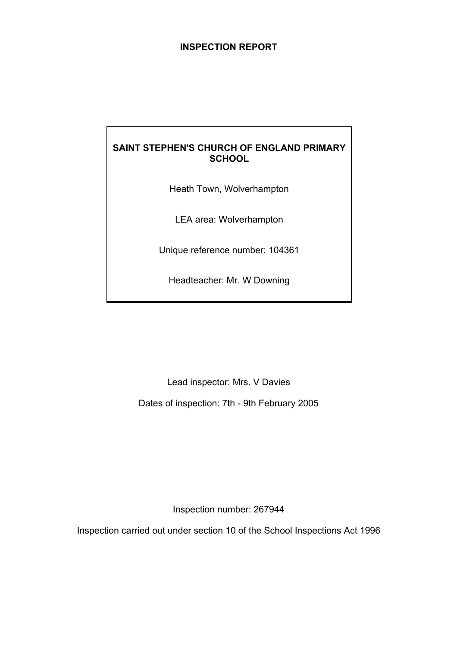# **INSPECTION REPORT**

# **SAINT STEPHEN'S CHURCH OF ENGLAND PRIMARY SCHOOL**

Heath Town, Wolverhampton

LEA area: Wolverhampton

Unique reference number: 104361

Headteacher: Mr. W Downing

Lead inspector: Mrs. V Davies

Dates of inspection: 7th - 9th February 2005

Inspection number: 267944

Inspection carried out under section 10 of the School Inspections Act 1996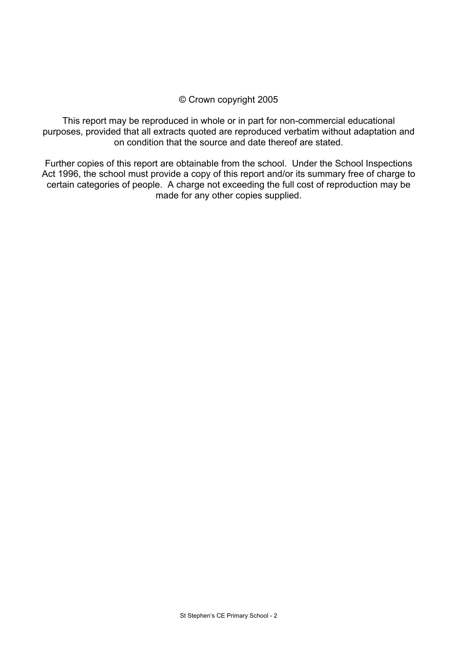## © Crown copyright 2005

This report may be reproduced in whole or in part for non-commercial educational purposes, provided that all extracts quoted are reproduced verbatim without adaptation and on condition that the source and date thereof are stated.

Further copies of this report are obtainable from the school. Under the School Inspections Act 1996, the school must provide a copy of this report and/or its summary free of charge to certain categories of people. A charge not exceeding the full cost of reproduction may be made for any other copies supplied.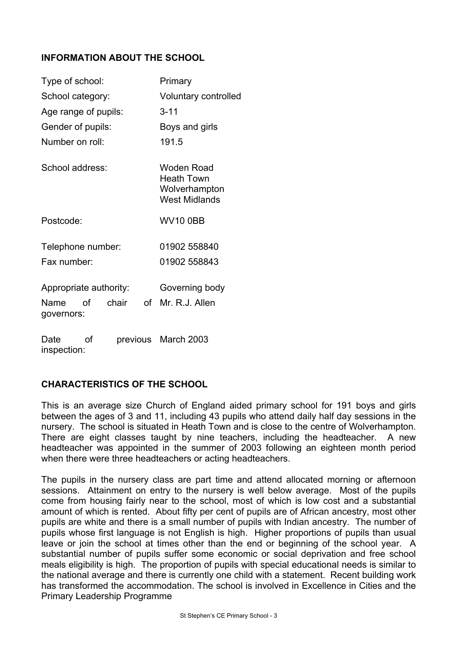# **INFORMATION ABOUT THE SCHOOL**

| Type of school:                         | Primary                                                                  |  |
|-----------------------------------------|--------------------------------------------------------------------------|--|
| School category:                        | Voluntary controlled                                                     |  |
| Age range of pupils:                    | $3 - 11$                                                                 |  |
| Gender of pupils:                       | Boys and girls                                                           |  |
| Number on roll:                         | 191.5                                                                    |  |
| School address:                         | Woden Road<br><b>Heath Town</b><br>Wolverhampton<br><b>West Midlands</b> |  |
| Postcode:                               | <b>WV10 0BB</b>                                                          |  |
| Telephone number:                       | 01902 558840                                                             |  |
| Fax number:                             | 01902 558843                                                             |  |
| Appropriate authority:                  | Governing body                                                           |  |
| chair<br>of<br>Name<br>Ωf<br>governors: | Mr. R.J. Allen                                                           |  |
| Ωf<br>Date<br>inspection:               | previous March 2003                                                      |  |

# **CHARACTERISTICS OF THE SCHOOL**

This is an average size Church of England aided primary school for 191 boys and girls between the ages of 3 and 11, including 43 pupils who attend daily half day sessions in the nursery. The school is situated in Heath Town and is close to the centre of Wolverhampton. There are eight classes taught by nine teachers, including the headteacher. A new headteacher was appointed in the summer of 2003 following an eighteen month period when there were three headteachers or acting headteachers.

The pupils in the nursery class are part time and attend allocated morning or afternoon sessions. Attainment on entry to the nursery is well below average. Most of the pupils come from housing fairly near to the school, most of which is low cost and a substantial amount of which is rented. About fifty per cent of pupils are of African ancestry, most other pupils are white and there is a small number of pupils with Indian ancestry. The number of pupils whose first language is not English is high. Higher proportions of pupils than usual leave or join the school at times other than the end or beginning of the school year. A substantial number of pupils suffer some economic or social deprivation and free school meals eligibility is high. The proportion of pupils with special educational needs is similar to the national average and there is currently one child with a statement. Recent building work has transformed the accommodation. The school is involved in Excellence in Cities and the Primary Leadership Programme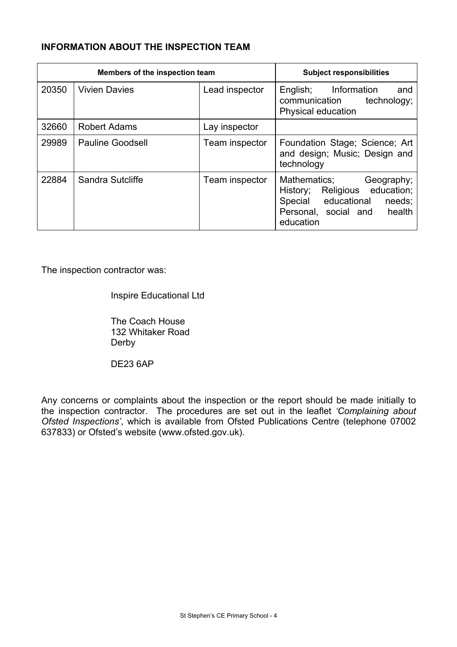# **INFORMATION ABOUT THE INSPECTION TEAM**

| Members of the inspection team |                         | <b>Subject responsibilities</b> |                                                                                                                                          |
|--------------------------------|-------------------------|---------------------------------|------------------------------------------------------------------------------------------------------------------------------------------|
| 20350                          | <b>Vivien Davies</b>    | Lead inspector                  | English; Information<br>and<br>communication<br>technology;<br>Physical education                                                        |
| 32660                          | <b>Robert Adams</b>     | Lay inspector                   |                                                                                                                                          |
| 29989                          | <b>Pauline Goodsell</b> | Team inspector                  | Foundation Stage; Science; Art<br>and design; Music; Design and<br>technology                                                            |
| 22884                          | Sandra Sutcliffe        | Team inspector                  | Mathematics;<br>Geography;<br>History; Religious education;<br>Special educational<br>needs;<br>Personal, social and health<br>education |

The inspection contractor was:

Inspire Educational Ltd

 The Coach House 132 Whitaker Road Derby

DE23 6AP

Any concerns or complaints about the inspection or the report should be made initially to the inspection contractor. The procedures are set out in the leaflet *'Complaining about Ofsted Inspections'*, which is available from Ofsted Publications Centre (telephone 07002 637833) or Ofsted's website (www.ofsted.gov.uk).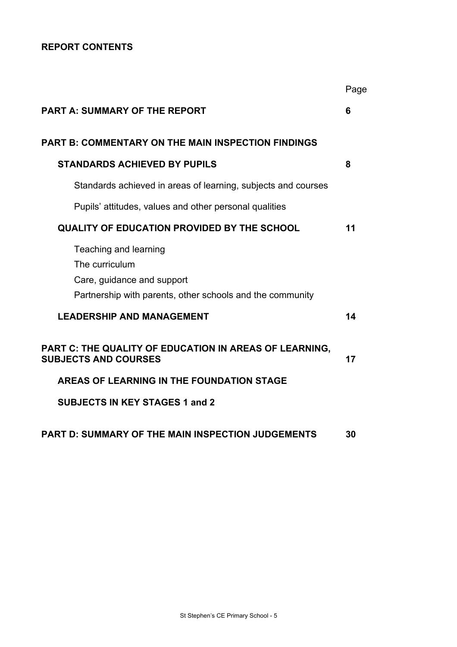# **REPORT CONTENTS**

|                                                                                                                                    | Page |
|------------------------------------------------------------------------------------------------------------------------------------|------|
| <b>PART A: SUMMARY OF THE REPORT</b>                                                                                               | 6    |
| <b>PART B: COMMENTARY ON THE MAIN INSPECTION FINDINGS</b>                                                                          |      |
| <b>STANDARDS ACHIEVED BY PUPILS</b>                                                                                                | 8    |
| Standards achieved in areas of learning, subjects and courses                                                                      |      |
| Pupils' attitudes, values and other personal qualities                                                                             |      |
| <b>QUALITY OF EDUCATION PROVIDED BY THE SCHOOL</b>                                                                                 | 11   |
| Teaching and learning<br>The curriculum<br>Care, guidance and support<br>Partnership with parents, other schools and the community |      |
| <b>LEADERSHIP AND MANAGEMENT</b>                                                                                                   | 14   |
| PART C: THE QUALITY OF EDUCATION IN AREAS OF LEARNING,<br><b>SUBJECTS AND COURSES</b>                                              | 17   |
| AREAS OF LEARNING IN THE FOUNDATION STAGE                                                                                          |      |
| <b>SUBJECTS IN KEY STAGES 1 and 2</b>                                                                                              |      |
| PART D: SUMMARY OF THE MAIN INSPECTION JUDGEMENTS                                                                                  | 30   |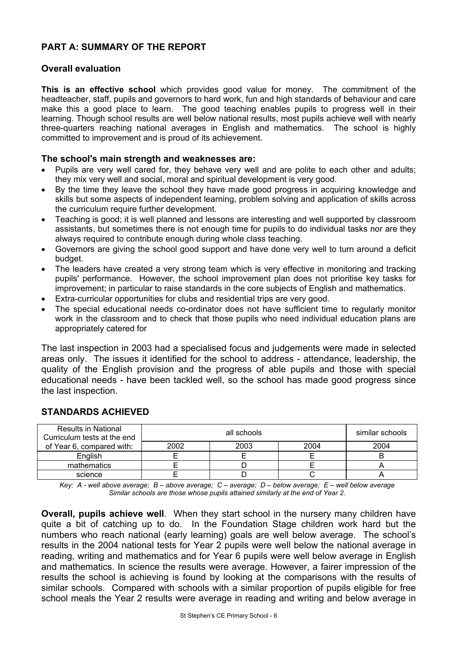# **PART A: SUMMARY OF THE REPORT**

## **Overall evaluation**

**This is an effective school** which provides good value for money. The commitment of the headteacher, staff, pupils and governors to hard work, fun and high standards of behaviour and care make this a good place to learn. The good teaching enables pupils to progress well in their learning. Though school results are well below national results, most pupils achieve well with nearly three-quarters reaching national averages in English and mathematics. The school is highly committed to improvement and is proud of its achievement.

#### **The school's main strength and weaknesses are:**

- Pupils are very well cared for, they behave very well and are polite to each other and adults; they mix very well and social, moral and spiritual development is very good.
- By the time they leave the school they have made good progress in acquiring knowledge and skills but some aspects of independent learning, problem solving and application of skills across the curriculum require further development.
- Teaching is good; it is well planned and lessons are interesting and well supported by classroom assistants, but sometimes there is not enough time for pupils to do individual tasks nor are they always required to contribute enough during whole class teaching.
- Governors are giving the school good support and have done very well to turn around a deficit budget.
- The leaders have created a very strong team which is very effective in monitoring and tracking pupils' performance. However, the school improvement plan does not prioritise key tasks for improvement; in particular to raise standards in the core subjects of English and mathematics.
- Extra-curricular opportunities for clubs and residential trips are very good.
- The special educational needs co-ordinator does not have sufficient time to regularly monitor work in the classroom and to check that those pupils who need individual education plans are appropriately catered for

The last inspection in 2003 had a specialised focus and judgements were made in selected areas only. The issues it identified for the school to address - attendance, leadership, the quality of the English provision and the progress of able pupils and those with special educational needs - have been tackled well, so the school has made good progress since the last inspection.

| <b>Results in National</b><br>Curriculum tests at the end | all schools |      |  | similar schools |
|-----------------------------------------------------------|-------------|------|--|-----------------|
| of Year 6, compared with:                                 | 2002        | 2004 |  |                 |
| Enalish                                                   |             |      |  |                 |
| mathematics                                               |             |      |  |                 |
| science                                                   |             |      |  |                 |

#### **STANDARDS ACHIEVED**

*Key: A - well above average; B – above average; C – average; D – below average; E – well below average Similar schools are those whose pupils attained similarly at the end of Year 2.* 

**Overall, pupils achieve well**. When they start school in the nursery many children have quite a bit of catching up to do. In the Foundation Stage children work hard but the numbers who reach national (early learning) goals are well below average. The school's results in the 2004 national tests for Year 2 pupils were well below the national average in reading, writing and mathematics and for Year 6 pupils were well below average in English and mathematics. In science the results were average. However, a fairer impression of the results the school is achieving is found by looking at the comparisons with the results of similar schools. Compared with schools with a similar proportion of pupils eligible for free school meals the Year 2 results were average in reading and writing and below average in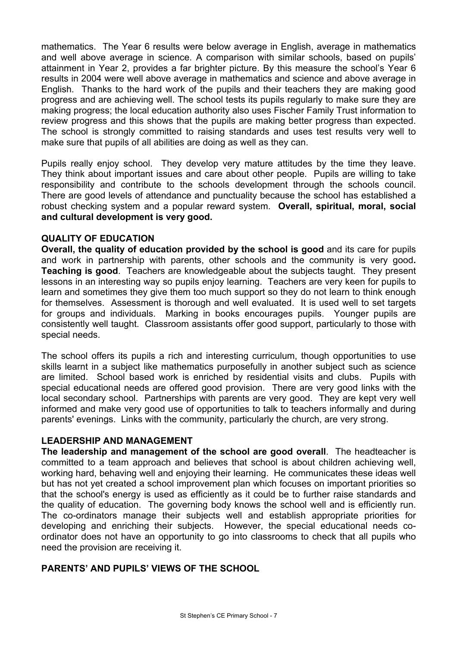mathematics. The Year 6 results were below average in English, average in mathematics and well above average in science. A comparison with similar schools, based on pupils' attainment in Year 2, provides a far brighter picture. By this measure the school's Year 6 results in 2004 were well above average in mathematics and science and above average in English. Thanks to the hard work of the pupils and their teachers they are making good progress and are achieving well. The school tests its pupils regularly to make sure they are making progress; the local education authority also uses Fischer Family Trust information to review progress and this shows that the pupils are making better progress than expected. The school is strongly committed to raising standards and uses test results very well to make sure that pupils of all abilities are doing as well as they can.

Pupils really enjoy school. They develop very mature attitudes by the time they leave. They think about important issues and care about other people. Pupils are willing to take responsibility and contribute to the schools development through the schools council. There are good levels of attendance and punctuality because the school has established a robust checking system and a popular reward system. **Overall, spiritual, moral, social and cultural development is very good.** 

## **QUALITY OF EDUCATION**

**Overall, the quality of education provided by the school is good** and its care for pupils and work in partnership with parents, other schools and the community is very good**. Teaching is good**. Teachers are knowledgeable about the subjects taught. They present lessons in an interesting way so pupils enjoy learning. Teachers are very keen for pupils to learn and sometimes they give them too much support so they do not learn to think enough for themselves. Assessment is thorough and well evaluated. It is used well to set targets for groups and individuals. Marking in books encourages pupils. Younger pupils are consistently well taught. Classroom assistants offer good support, particularly to those with special needs.

The school offers its pupils a rich and interesting curriculum, though opportunities to use skills learnt in a subject like mathematics purposefully in another subject such as science are limited. School based work is enriched by residential visits and clubs. Pupils with special educational needs are offered good provision. There are very good links with the local secondary school. Partnerships with parents are very good. They are kept very well informed and make very good use of opportunities to talk to teachers informally and during parents' evenings. Links with the community, particularly the church, are very strong.

## **LEADERSHIP AND MANAGEMENT**

**The leadership and management of the school are good overall**. The headteacher is committed to a team approach and believes that school is about children achieving well, working hard, behaving well and enjoying their learning. He communicates these ideas well but has not yet created a school improvement plan which focuses on important priorities so that the school's energy is used as efficiently as it could be to further raise standards and the quality of education. The governing body knows the school well and is efficiently run. The co-ordinators manage their subjects well and establish appropriate priorities for developing and enriching their subjects. However, the special educational needs coordinator does not have an opportunity to go into classrooms to check that all pupils who need the provision are receiving it.

## **PARENTS' AND PUPILS' VIEWS OF THE SCHOOL**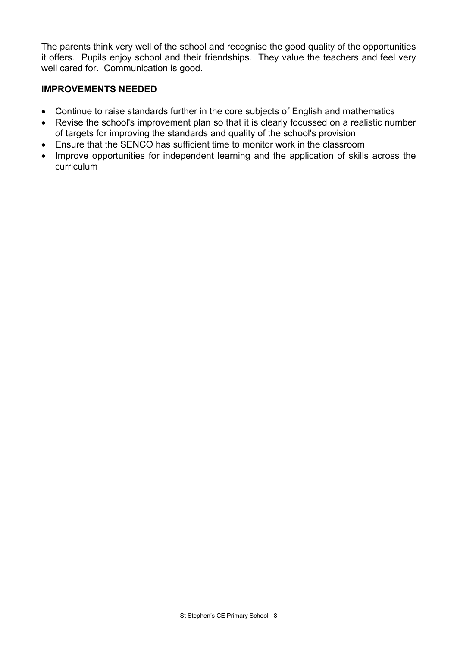The parents think very well of the school and recognise the good quality of the opportunities it offers. Pupils enjoy school and their friendships. They value the teachers and feel very well cared for. Communication is good.

## **IMPROVEMENTS NEEDED**

- Continue to raise standards further in the core subjects of English and mathematics
- Revise the school's improvement plan so that it is clearly focussed on a realistic number of targets for improving the standards and quality of the school's provision
- Ensure that the SENCO has sufficient time to monitor work in the classroom
- Improve opportunities for independent learning and the application of skills across the curriculum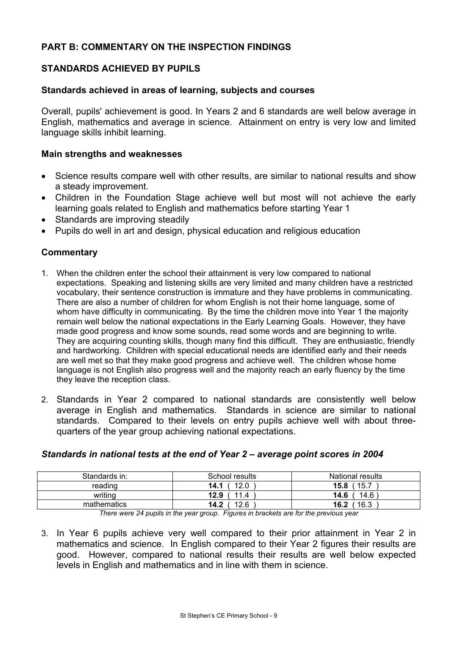# **PART B: COMMENTARY ON THE INSPECTION FINDINGS**

## **STANDARDS ACHIEVED BY PUPILS**

### **Standards achieved in areas of learning, subjects and courses**

Overall, pupils' achievement is good. In Years 2 and 6 standards are well below average in English, mathematics and average in science. Attainment on entry is very low and limited language skills inhibit learning.

#### **Main strengths and weaknesses**

- Science results compare well with other results, are similar to national results and show a steady improvement.
- Children in the Foundation Stage achieve well but most will not achieve the early learning goals related to English and mathematics before starting Year 1
- Standards are improving steadily
- Pupils do well in art and design, physical education and religious education

## **Commentary**

- 1. When the children enter the school their attainment is very low compared to national expectations. Speaking and listening skills are very limited and many children have a restricted vocabulary, their sentence construction is immature and they have problems in communicating. There are also a number of children for whom English is not their home language, some of whom have difficulty in communicating. By the time the children move into Year 1 the majority remain well below the national expectations in the Early Learning Goals. However, they have made good progress and know some sounds, read some words and are beginning to write. They are acquiring counting skills, though many find this difficult. They are enthusiastic, friendly and hardworking. Children with special educational needs are identified early and their needs are well met so that they make good progress and achieve well. The children whose home language is not English also progress well and the majority reach an early fluency by the time they leave the reception class.
- 2. Standards in Year 2 compared to national standards are consistently well below average in English and mathematics. Standards in science are similar to national standards. Compared to their levels on entry pupils achieve well with about threequarters of the year group achieving national expectations.

| Standards in: | School results | National results |
|---------------|----------------|------------------|
| reading       | 12.0<br>14.1   | 15.7<br>15.8     |
| writing       | 11.4<br>12.9   | 14.6 `<br>14.6   |
| mathematics   | 12.6<br>14.2   | 16.3<br>16.2     |

#### *Standards in national tests at the end of Year 2 – average point scores in 2004*

*There were 24 pupils in the year group. Figures in brackets are for the previous year* 

3. In Year 6 pupils achieve very well compared to their prior attainment in Year 2 in mathematics and science. In English compared to their Year 2 figures their results are good. However, compared to national results their results are well below expected levels in English and mathematics and in line with them in science.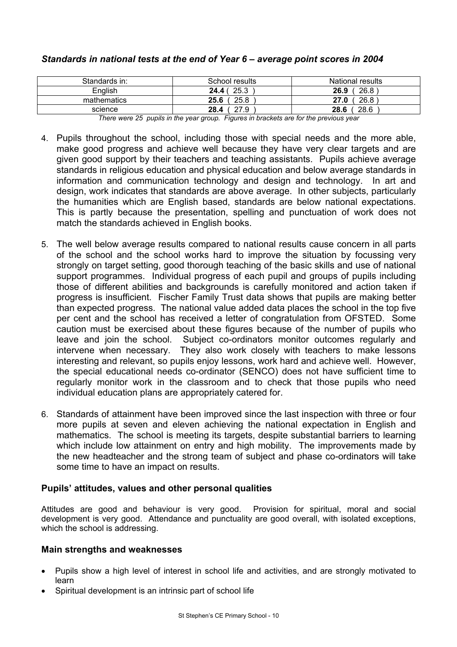| Standards in: | School results | National results |
|---------------|----------------|------------------|
| English       | 25.3<br>24.4 ( | 26.8<br>26.9     |
| mathematics   | 25.6<br>25.8   | 26.8<br>27.0     |
| science       | 27.9<br>28.4   | 28.6<br>28.6     |

## *Standards in national tests at the end of Year 6 – average point scores in 2004*

*There were 25 pupils in the year group. Figures in brackets are for the previous year* 

- 4. Pupils throughout the school, including those with special needs and the more able, make good progress and achieve well because they have very clear targets and are given good support by their teachers and teaching assistants. Pupils achieve average standards in religious education and physical education and below average standards in information and communication technology and design and technology. In art and design, work indicates that standards are above average. In other subjects, particularly the humanities which are English based, standards are below national expectations. This is partly because the presentation, spelling and punctuation of work does not match the standards achieved in English books.
- 5. The well below average results compared to national results cause concern in all parts of the school and the school works hard to improve the situation by focussing very strongly on target setting, good thorough teaching of the basic skills and use of national support programmes. Individual progress of each pupil and groups of pupils including those of different abilities and backgrounds is carefully monitored and action taken if progress is insufficient. Fischer Family Trust data shows that pupils are making better than expected progress. The national value added data places the school in the top five per cent and the school has received a letter of congratulation from OFSTED. Some caution must be exercised about these figures because of the number of pupils who leave and join the school. Subject co-ordinators monitor outcomes regularly and intervene when necessary. They also work closely with teachers to make lessons interesting and relevant, so pupils enjoy lessons, work hard and achieve well. However, the special educational needs co-ordinator (SENCO) does not have sufficient time to regularly monitor work in the classroom and to check that those pupils who need individual education plans are appropriately catered for.
- 6. Standards of attainment have been improved since the last inspection with three or four more pupils at seven and eleven achieving the national expectation in English and mathematics. The school is meeting its targets, despite substantial barriers to learning which include low attainment on entry and high mobility. The improvements made by the new headteacher and the strong team of subject and phase co-ordinators will take some time to have an impact on results.

# **Pupils' attitudes, values and other personal qualities**

Attitudes are good and behaviour is very good. Provision for spiritual, moral and social development is very good. Attendance and punctuality are good overall, with isolated exceptions, which the school is addressing.

# **Main strengths and weaknesses**

- Pupils show a high level of interest in school life and activities, and are strongly motivated to learn
- Spiritual development is an intrinsic part of school life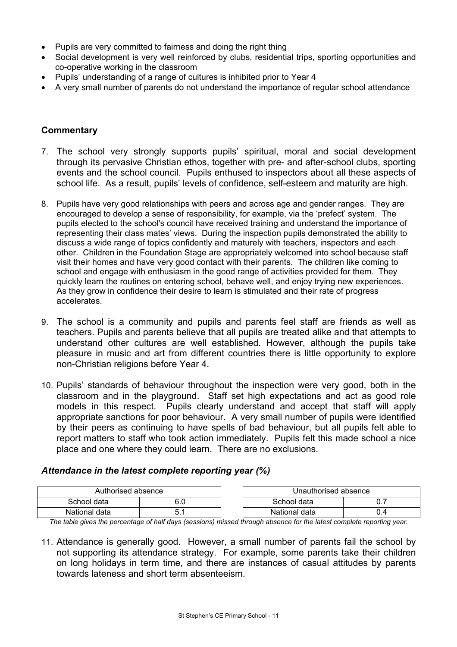- Pupils are very committed to fairness and doing the right thing
- Social development is very well reinforced by clubs, residential trips, sporting opportunities and co-operative working in the classroom
- Pupils' understanding of a range of cultures is inhibited prior to Year 4
- A very small number of parents do not understand the importance of regular school attendance

# **Commentary**

- 7. The school very strongly supports pupils' spiritual, moral and social development through its pervasive Christian ethos, together with pre- and after-school clubs, sporting events and the school council. Pupils enthused to inspectors about all these aspects of school life. As a result, pupils' levels of confidence, self-esteem and maturity are high.
- 8. Pupils have very good relationships with peers and across age and gender ranges. They are encouraged to develop a sense of responsibility, for example, via the 'prefect' system. The pupils elected to the school's council have received training and understand the importance of representing their class mates' views. During the inspection pupils demonstrated the ability to discuss a wide range of topics confidently and maturely with teachers, inspectors and each other. Children in the Foundation Stage are appropriately welcomed into school because staff visit their homes and have very good contact with their parents. The children like coming to school and engage with enthusiasm in the good range of activities provided for them. They quickly learn the routines on entering school, behave well, and enjoy trying new experiences. As they grow in confidence their desire to learn is stimulated and their rate of progress accelerates.
- 9. The school is a community and pupils and parents feel staff are friends as well as teachers. Pupils and parents believe that all pupils are treated alike and that attempts to understand other cultures are well established. However, although the pupils take pleasure in music and art from different countries there is little opportunity to explore non-Christian religions before Year 4.
- 10. Pupils' standards of behaviour throughout the inspection were very good, both in the classroom and in the playground. Staff set high expectations and act as good role models in this respect. Pupils clearly understand and accept that staff will apply appropriate sanctions for poor behaviour. A very small number of pupils were identified by their peers as continuing to have spells of bad behaviour, but all pupils felt able to report matters to staff who took action immediately. Pupils felt this made school a nice place and one where they could learn. There are no exclusions.

## *Attendance in the latest complete reporting year (%)*

| Authorised absence |      | Jnauthorised absence |     |
|--------------------|------|----------------------|-----|
| School data        | ∪.∪  | School data          |     |
| National data      | ບ. ເ | National data        | U.4 |

*The table gives the percentage of half days (sessions) missed through absence for the latest complete reporting year.*

11. Attendance is generally good. However, a small number of parents fail the school by not supporting its attendance strategy. For example, some parents take their children on long holidays in term time, and there are instances of casual attitudes by parents towards lateness and short term absenteeism.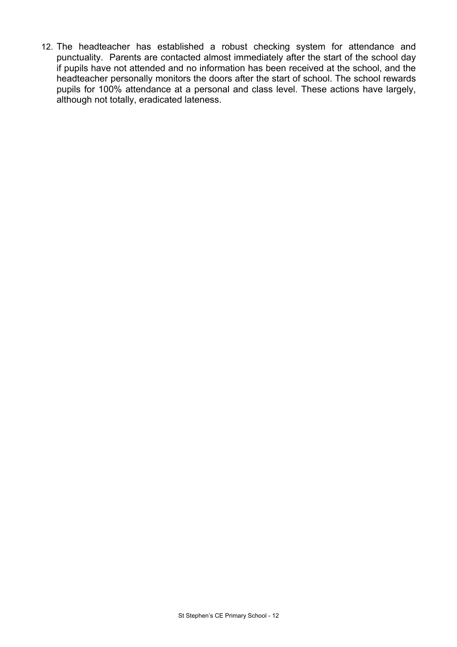12. The headteacher has established a robust checking system for attendance and punctuality. Parents are contacted almost immediately after the start of the school day if pupils have not attended and no information has been received at the school, and the headteacher personally monitors the doors after the start of school. The school rewards pupils for 100% attendance at a personal and class level. These actions have largely, although not totally, eradicated lateness.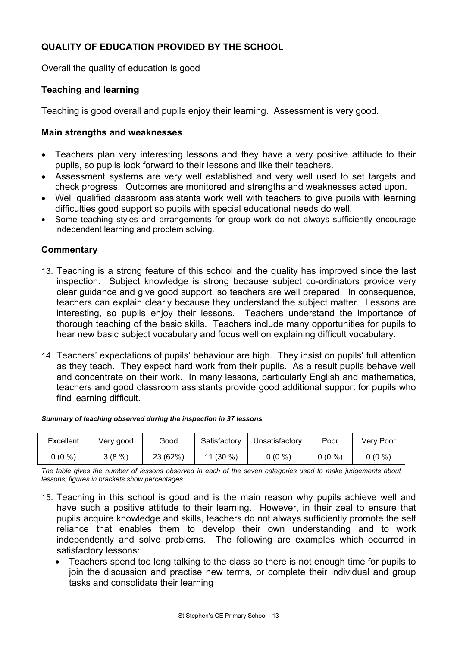# **QUALITY OF EDUCATION PROVIDED BY THE SCHOOL**

Overall the quality of education is good

# **Teaching and learning**

Teaching is good overall and pupils enjoy their learning. Assessment is very good.

## **Main strengths and weaknesses**

- Teachers plan very interesting lessons and they have a very positive attitude to their pupils, so pupils look forward to their lessons and like their teachers.
- Assessment systems are very well established and very well used to set targets and check progress. Outcomes are monitored and strengths and weaknesses acted upon.
- Well qualified classroom assistants work well with teachers to give pupils with learning difficulties good support so pupils with special educational needs do well.
- Some teaching styles and arrangements for group work do not always sufficiently encourage independent learning and problem solving.

## **Commentary**

- 13. Teaching is a strong feature of this school and the quality has improved since the last inspection. Subject knowledge is strong because subject co-ordinators provide very clear guidance and give good support, so teachers are well prepared. In consequence, teachers can explain clearly because they understand the subject matter. Lessons are interesting, so pupils enjoy their lessons. Teachers understand the importance of thorough teaching of the basic skills. Teachers include many opportunities for pupils to hear new basic subject vocabulary and focus well on explaining difficult vocabulary.
- 14. Teachers' expectations of pupils' behaviour are high. They insist on pupils' full attention as they teach. They expect hard work from their pupils. As a result pupils behave well and concentrate on their work. In many lessons, particularly English and mathematics, teachers and good classroom assistants provide good additional support for pupils who find learning difficult.

#### *Summary of teaching observed during the inspection in 37 lessons*

| Excellent | Very good | Good     | Satisfactory | Unsatisfactory | Poor     | Very Poor |
|-----------|-----------|----------|--------------|----------------|----------|-----------|
| $0(0\%)$  | 3(8%)     | 23 (62%) | 11 (30 %)    | $0(0\%)$       | $0(0\%)$ | $0(0\%)$  |

*The table gives the number of lessons observed in each of the seven categories used to make judgements about lessons; figures in brackets show percentages.* 

- 15. Teaching in this school is good and is the main reason why pupils achieve well and have such a positive attitude to their learning. However, in their zeal to ensure that pupils acquire knowledge and skills, teachers do not always sufficiently promote the self reliance that enables them to develop their own understanding and to work independently and solve problems. The following are examples which occurred in satisfactory lessons:
	- Teachers spend too long talking to the class so there is not enough time for pupils to join the discussion and practise new terms, or complete their individual and group tasks and consolidate their learning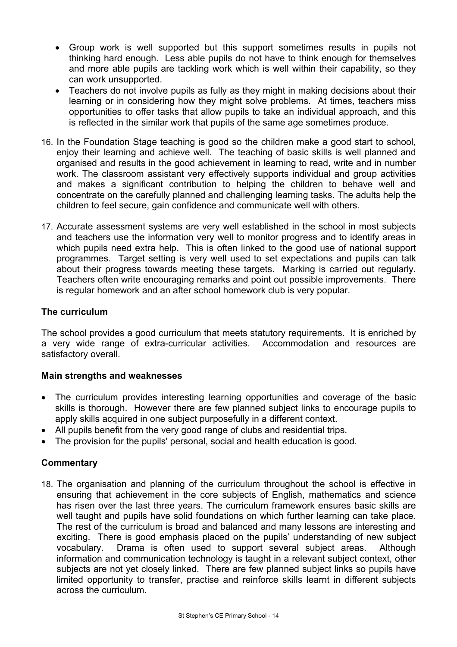- Group work is well supported but this support sometimes results in pupils not thinking hard enough. Less able pupils do not have to think enough for themselves and more able pupils are tackling work which is well within their capability, so they can work unsupported.
- Teachers do not involve pupils as fully as they might in making decisions about their learning or in considering how they might solve problems. At times, teachers miss opportunities to offer tasks that allow pupils to take an individual approach, and this is reflected in the similar work that pupils of the same age sometimes produce.
- 16. In the Foundation Stage teaching is good so the children make a good start to school, enjoy their learning and achieve well. The teaching of basic skills is well planned and organised and results in the good achievement in learning to read, write and in number work. The classroom assistant very effectively supports individual and group activities and makes a significant contribution to helping the children to behave well and concentrate on the carefully planned and challenging learning tasks. The adults help the children to feel secure, gain confidence and communicate well with others.
- 17. Accurate assessment systems are very well established in the school in most subjects and teachers use the information very well to monitor progress and to identify areas in which pupils need extra help. This is often linked to the good use of national support programmes. Target setting is very well used to set expectations and pupils can talk about their progress towards meeting these targets. Marking is carried out regularly. Teachers often write encouraging remarks and point out possible improvements. There is regular homework and an after school homework club is very popular.

# **The curriculum**

The school provides a good curriculum that meets statutory requirements. It is enriched by a very wide range of extra-curricular activities. Accommodation and resources are satisfactory overall.

## **Main strengths and weaknesses**

- The curriculum provides interesting learning opportunities and coverage of the basic skills is thorough. However there are few planned subject links to encourage pupils to apply skills acquired in one subject purposefully in a different context.
- All pupils benefit from the very good range of clubs and residential trips.
- The provision for the pupils' personal, social and health education is good.

## **Commentary**

18. The organisation and planning of the curriculum throughout the school is effective in ensuring that achievement in the core subjects of English, mathematics and science has risen over the last three years. The curriculum framework ensures basic skills are well taught and pupils have solid foundations on which further learning can take place. The rest of the curriculum is broad and balanced and many lessons are interesting and exciting. There is good emphasis placed on the pupils' understanding of new subject vocabulary. Drama is often used to support several subject areas. Although information and communication technology is taught in a relevant subject context, other subjects are not yet closely linked. There are few planned subject links so pupils have limited opportunity to transfer, practise and reinforce skills learnt in different subjects across the curriculum.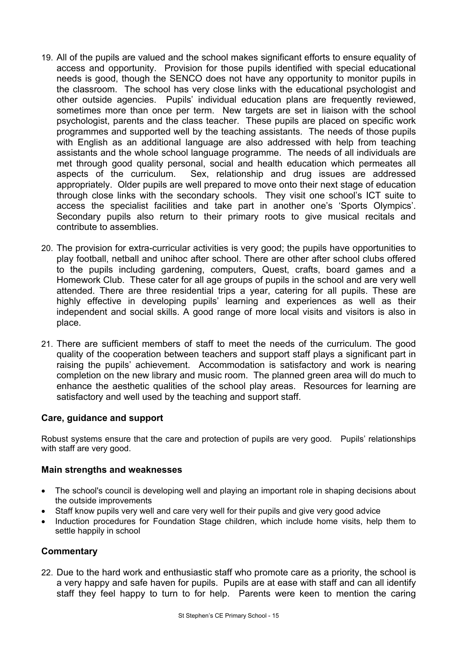- 19. All of the pupils are valued and the school makes significant efforts to ensure equality of access and opportunity. Provision for those pupils identified with special educational needs is good, though the SENCO does not have any opportunity to monitor pupils in the classroom. The school has very close links with the educational psychologist and other outside agencies. Pupils' individual education plans are frequently reviewed, sometimes more than once per term. New targets are set in liaison with the school psychologist, parents and the class teacher. These pupils are placed on specific work programmes and supported well by the teaching assistants. The needs of those pupils with English as an additional language are also addressed with help from teaching assistants and the whole school language programme. The needs of all individuals are met through good quality personal, social and health education which permeates all aspects of the curriculum. Sex, relationship and drug issues are addressed appropriately. Older pupils are well prepared to move onto their next stage of education through close links with the secondary schools. They visit one school's ICT suite to access the specialist facilities and take part in another one's 'Sports Olympics'. Secondary pupils also return to their primary roots to give musical recitals and contribute to assemblies.
- 20. The provision for extra-curricular activities is very good; the pupils have opportunities to play football, netball and unihoc after school. There are other after school clubs offered to the pupils including gardening, computers, Quest, crafts, board games and a Homework Club. These cater for all age groups of pupils in the school and are very well attended. There are three residential trips a year, catering for all pupils. These are highly effective in developing pupils' learning and experiences as well as their independent and social skills. A good range of more local visits and visitors is also in place.
- 21. There are sufficient members of staff to meet the needs of the curriculum. The good quality of the cooperation between teachers and support staff plays a significant part in raising the pupils' achievement. Accommodation is satisfactory and work is nearing completion on the new library and music room. The planned green area will do much to enhance the aesthetic qualities of the school play areas. Resources for learning are satisfactory and well used by the teaching and support staff.

## **Care, guidance and support**

Robust systems ensure that the care and protection of pupils are very good. Pupils' relationships with staff are very good.

#### **Main strengths and weaknesses**

- The school's council is developing well and playing an important role in shaping decisions about the outside improvements
- Staff know pupils very well and care very well for their pupils and give very good advice
- Induction procedures for Foundation Stage children, which include home visits, help them to settle happily in school

## **Commentary**

22. Due to the hard work and enthusiastic staff who promote care as a priority, the school is a very happy and safe haven for pupils. Pupils are at ease with staff and can all identify staff they feel happy to turn to for help. Parents were keen to mention the caring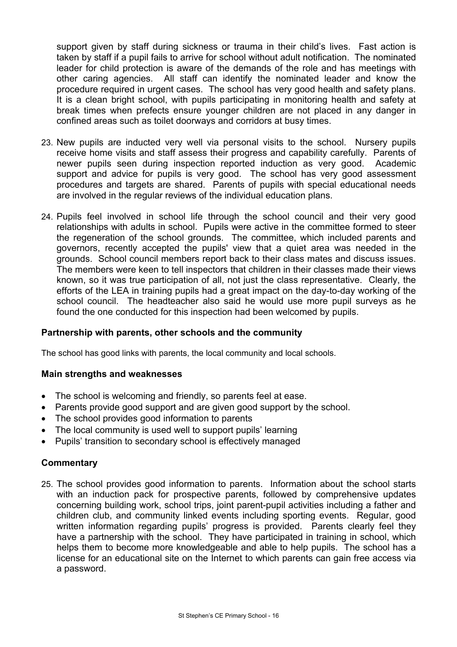support given by staff during sickness or trauma in their child's lives. Fast action is taken by staff if a pupil fails to arrive for school without adult notification. The nominated leader for child protection is aware of the demands of the role and has meetings with other caring agencies. All staff can identify the nominated leader and know the procedure required in urgent cases. The school has very good health and safety plans. It is a clean bright school, with pupils participating in monitoring health and safety at break times when prefects ensure younger children are not placed in any danger in confined areas such as toilet doorways and corridors at busy times.

- 23. New pupils are inducted very well via personal visits to the school. Nursery pupils receive home visits and staff assess their progress and capability carefully. Parents of newer pupils seen during inspection reported induction as very good. Academic support and advice for pupils is very good. The school has very good assessment procedures and targets are shared. Parents of pupils with special educational needs are involved in the regular reviews of the individual education plans.
- 24. Pupils feel involved in school life through the school council and their very good relationships with adults in school. Pupils were active in the committee formed to steer the regeneration of the school grounds. The committee, which included parents and governors, recently accepted the pupils' view that a quiet area was needed in the grounds. School council members report back to their class mates and discuss issues. The members were keen to tell inspectors that children in their classes made their views known, so it was true participation of all, not just the class representative. Clearly, the efforts of the LEA in training pupils had a great impact on the day-to-day working of the school council. The headteacher also said he would use more pupil surveys as he found the one conducted for this inspection had been welcomed by pupils.

## **Partnership with parents, other schools and the community**

The school has good links with parents, the local community and local schools.

## **Main strengths and weaknesses**

- The school is welcoming and friendly, so parents feel at ease.
- Parents provide good support and are given good support by the school.
- The school provides good information to parents
- The local community is used well to support pupils' learning
- Pupils' transition to secondary school is effectively managed

#### **Commentary**

25. The school provides good information to parents. Information about the school starts with an induction pack for prospective parents, followed by comprehensive updates concerning building work, school trips, joint parent-pupil activities including a father and children club, and community linked events including sporting events. Regular, good written information regarding pupils' progress is provided. Parents clearly feel they have a partnership with the school. They have participated in training in school, which helps them to become more knowledgeable and able to help pupils. The school has a license for an educational site on the Internet to which parents can gain free access via a password.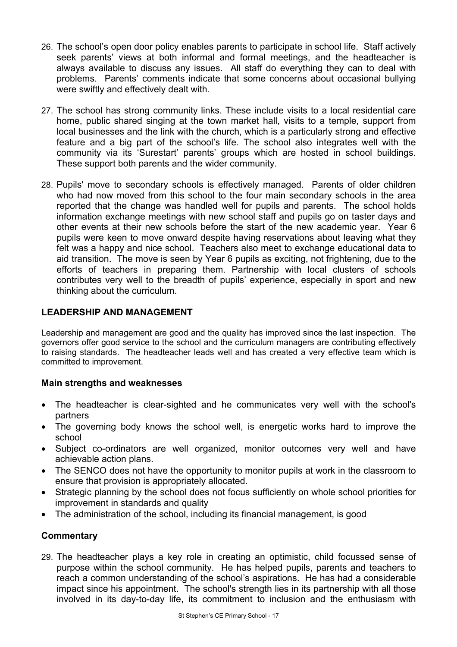- 26. The school's open door policy enables parents to participate in school life. Staff actively seek parents' views at both informal and formal meetings, and the headteacher is always available to discuss any issues. All staff do everything they can to deal with problems. Parents' comments indicate that some concerns about occasional bullying were swiftly and effectively dealt with.
- 27. The school has strong community links. These include visits to a local residential care home, public shared singing at the town market hall, visits to a temple, support from local businesses and the link with the church, which is a particularly strong and effective feature and a big part of the school's life. The school also integrates well with the community via its 'Surestart' parents' groups which are hosted in school buildings. These support both parents and the wider community.
- 28. Pupils' move to secondary schools is effectively managed. Parents of older children who had now moved from this school to the four main secondary schools in the area reported that the change was handled well for pupils and parents. The school holds information exchange meetings with new school staff and pupils go on taster days and other events at their new schools before the start of the new academic year. Year 6 pupils were keen to move onward despite having reservations about leaving what they felt was a happy and nice school. Teachers also meet to exchange educational data to aid transition. The move is seen by Year 6 pupils as exciting, not frightening, due to the efforts of teachers in preparing them. Partnership with local clusters of schools contributes very well to the breadth of pupils' experience, especially in sport and new thinking about the curriculum.

# **LEADERSHIP AND MANAGEMENT**

Leadership and management are good and the quality has improved since the last inspection. The governors offer good service to the school and the curriculum managers are contributing effectively to raising standards. The headteacher leads well and has created a very effective team which is committed to improvement.

# **Main strengths and weaknesses**

- The headteacher is clear-sighted and he communicates very well with the school's partners
- The governing body knows the school well, is energetic works hard to improve the school
- Subject co-ordinators are well organized, monitor outcomes very well and have achievable action plans.
- The SENCO does not have the opportunity to monitor pupils at work in the classroom to ensure that provision is appropriately allocated.
- Strategic planning by the school does not focus sufficiently on whole school priorities for improvement in standards and quality
- The administration of the school, including its financial management, is good

# **Commentary**

29. The headteacher plays a key role in creating an optimistic, child focussed sense of purpose within the school community. He has helped pupils, parents and teachers to reach a common understanding of the school's aspirations. He has had a considerable impact since his appointment. The school's strength lies in its partnership with all those involved in its day-to-day life, its commitment to inclusion and the enthusiasm with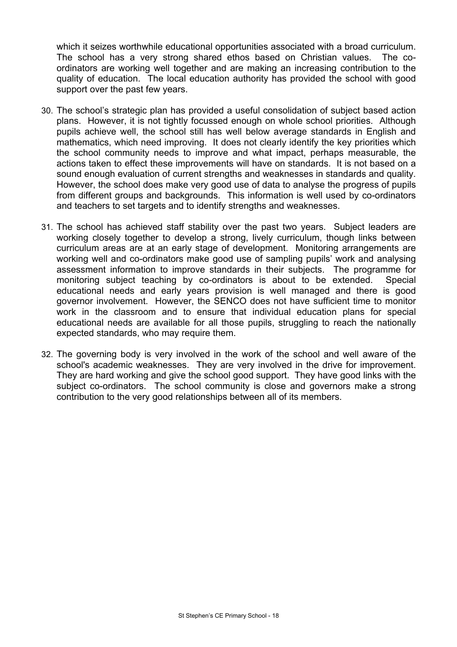which it seizes worthwhile educational opportunities associated with a broad curriculum. The school has a very strong shared ethos based on Christian values. The coordinators are working well together and are making an increasing contribution to the quality of education. The local education authority has provided the school with good support over the past few years.

- 30. The school's strategic plan has provided a useful consolidation of subject based action plans. However, it is not tightly focussed enough on whole school priorities. Although pupils achieve well, the school still has well below average standards in English and mathematics, which need improving. It does not clearly identify the key priorities which the school community needs to improve and what impact, perhaps measurable, the actions taken to effect these improvements will have on standards. It is not based on a sound enough evaluation of current strengths and weaknesses in standards and quality. However, the school does make very good use of data to analyse the progress of pupils from different groups and backgrounds. This information is well used by co-ordinators and teachers to set targets and to identify strengths and weaknesses.
- 31. The school has achieved staff stability over the past two years. Subject leaders are working closely together to develop a strong, lively curriculum, though links between curriculum areas are at an early stage of development. Monitoring arrangements are working well and co-ordinators make good use of sampling pupils' work and analysing assessment information to improve standards in their subjects. The programme for monitoring subject teaching by co-ordinators is about to be extended. Special educational needs and early years provision is well managed and there is good governor involvement. However, the SENCO does not have sufficient time to monitor work in the classroom and to ensure that individual education plans for special educational needs are available for all those pupils, struggling to reach the nationally expected standards, who may require them.
- 32. The governing body is very involved in the work of the school and well aware of the school's academic weaknesses. They are very involved in the drive for improvement. They are hard working and give the school good support. They have good links with the subject co-ordinators. The school community is close and governors make a strong contribution to the very good relationships between all of its members.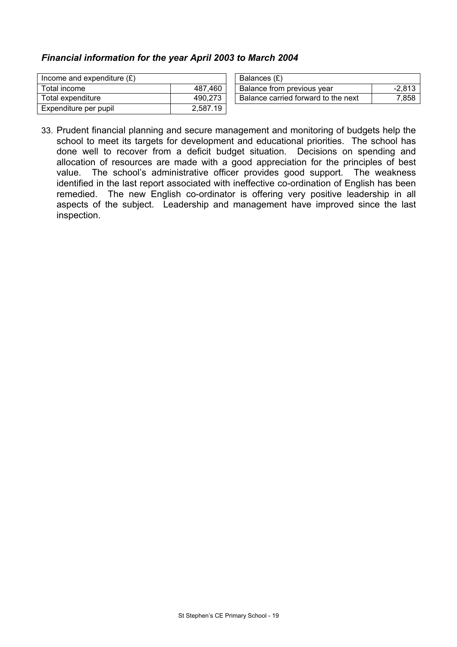## *Financial information for the year April 2003 to March 2004*

| Income and expenditure $(E)$ |          | Balances (£)                        |          |
|------------------------------|----------|-------------------------------------|----------|
| Total income                 | 487.460  | Balance from previous vear          | $-2.813$ |
| Total expenditure            | 490,273  | Balance carried forward to the next | 7,858    |
| Expenditure per pupil        | 2,587.19 |                                     |          |

33. Prudent financial planning and secure management and monitoring of budgets help the school to meet its targets for development and educational priorities. The school has done well to recover from a deficit budget situation. Decisions on spending and allocation of resources are made with a good appreciation for the principles of best value. The school's administrative officer provides good support. The weakness identified in the last report associated with ineffective co-ordination of English has been remedied. The new English co-ordinator is offering very positive leadership in all aspects of the subject. Leadership and management have improved since the last inspection.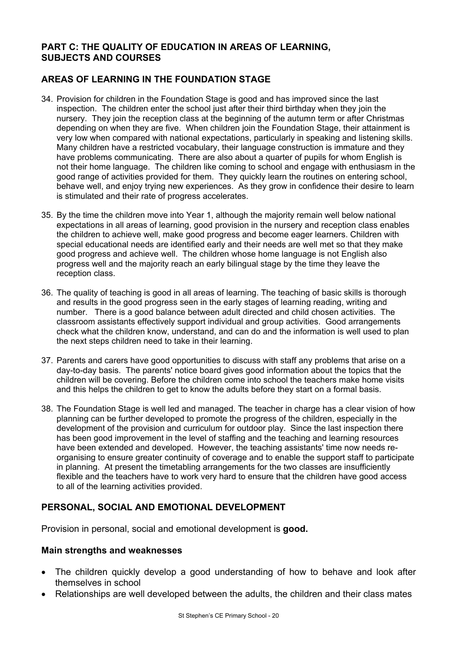## **PART C: THE QUALITY OF EDUCATION IN AREAS OF LEARNING, SUBJECTS AND COURSES**

# **AREAS OF LEARNING IN THE FOUNDATION STAGE**

- 34. Provision for children in the Foundation Stage is good and has improved since the last inspection. The children enter the school just after their third birthday when they join the nursery. They join the reception class at the beginning of the autumn term or after Christmas depending on when they are five. When children join the Foundation Stage, their attainment is very low when compared with national expectations, particularly in speaking and listening skills. Many children have a restricted vocabulary, their language construction is immature and they have problems communicating. There are also about a quarter of pupils for whom English is not their home language. The children like coming to school and engage with enthusiasm in the good range of activities provided for them. They quickly learn the routines on entering school, behave well, and enjoy trying new experiences. As they grow in confidence their desire to learn is stimulated and their rate of progress accelerates.
- 35. By the time the children move into Year 1, although the majority remain well below national expectations in all areas of learning, good provision in the nursery and reception class enables the children to achieve well, make good progress and become eager learners. Children with special educational needs are identified early and their needs are well met so that they make good progress and achieve well. The children whose home language is not English also progress well and the majority reach an early bilingual stage by the time they leave the reception class.
- 36. The quality of teaching is good in all areas of learning. The teaching of basic skills is thorough and results in the good progress seen in the early stages of learning reading, writing and number. There is a good balance between adult directed and child chosen activities. The classroom assistants effectively support individual and group activities. Good arrangements check what the children know, understand, and can do and the information is well used to plan the next steps children need to take in their learning.
- 37. Parents and carers have good opportunities to discuss with staff any problems that arise on a day-to-day basis. The parents' notice board gives good information about the topics that the children will be covering. Before the children come into school the teachers make home visits and this helps the children to get to know the adults before they start on a formal basis.
- 38. The Foundation Stage is well led and managed. The teacher in charge has a clear vision of how planning can be further developed to promote the progress of the children, especially in the development of the provision and curriculum for outdoor play. Since the last inspection there has been good improvement in the level of staffing and the teaching and learning resources have been extended and developed. However, the teaching assistants' time now needs reorganising to ensure greater continuity of coverage and to enable the support staff to participate in planning. At present the timetabling arrangements for the two classes are insufficiently flexible and the teachers have to work very hard to ensure that the children have good access to all of the learning activities provided.

## **PERSONAL, SOCIAL AND EMOTIONAL DEVELOPMENT**

Provision in personal, social and emotional development is **good.** 

#### **Main strengths and weaknesses**

- The children quickly develop a good understanding of how to behave and look after themselves in school
- Relationships are well developed between the adults, the children and their class mates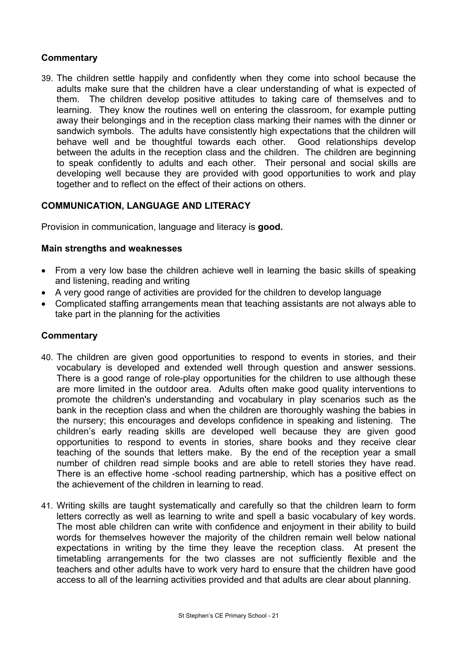## **Commentary**

39. The children settle happily and confidently when they come into school because the adults make sure that the children have a clear understanding of what is expected of them. The children develop positive attitudes to taking care of themselves and to learning. They know the routines well on entering the classroom, for example putting away their belongings and in the reception class marking their names with the dinner or sandwich symbols. The adults have consistently high expectations that the children will behave well and be thoughtful towards each other. Good relationships develop between the adults in the reception class and the children. The children are beginning to speak confidently to adults and each other. Their personal and social skills are developing well because they are provided with good opportunities to work and play together and to reflect on the effect of their actions on others.

## **COMMUNICATION, LANGUAGE AND LITERACY**

Provision in communication, language and literacy is **good.**

### **Main strengths and weaknesses**

- From a very low base the children achieve well in learning the basic skills of speaking and listening, reading and writing
- A very good range of activities are provided for the children to develop language
- Complicated staffing arrangements mean that teaching assistants are not always able to take part in the planning for the activities

- 40. The children are given good opportunities to respond to events in stories, and their vocabulary is developed and extended well through question and answer sessions. There is a good range of role-play opportunities for the children to use although these are more limited in the outdoor area. Adults often make good quality interventions to promote the children's understanding and vocabulary in play scenarios such as the bank in the reception class and when the children are thoroughly washing the babies in the nursery; this encourages and develops confidence in speaking and listening. The children's early reading skills are developed well because they are given good opportunities to respond to events in stories, share books and they receive clear teaching of the sounds that letters make. By the end of the reception year a small number of children read simple books and are able to retell stories they have read. There is an effective home -school reading partnership, which has a positive effect on the achievement of the children in learning to read.
- 41. Writing skills are taught systematically and carefully so that the children learn to form letters correctly as well as learning to write and spell a basic vocabulary of key words. The most able children can write with confidence and enjoyment in their ability to build words for themselves however the majority of the children remain well below national expectations in writing by the time they leave the reception class. At present the timetabling arrangements for the two classes are not sufficiently flexible and the teachers and other adults have to work very hard to ensure that the children have good access to all of the learning activities provided and that adults are clear about planning.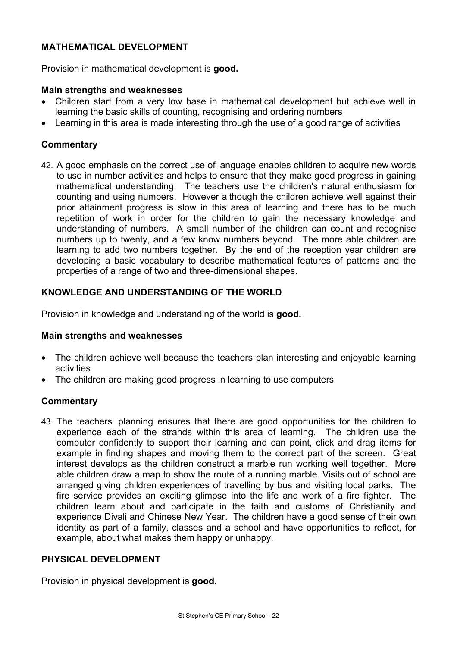# **MATHEMATICAL DEVELOPMENT**

Provision in mathematical development is **good.** 

### **Main strengths and weaknesses**

- Children start from a very low base in mathematical development but achieve well in learning the basic skills of counting, recognising and ordering numbers
- Learning in this area is made interesting through the use of a good range of activities

## **Commentary**

42. A good emphasis on the correct use of language enables children to acquire new words to use in number activities and helps to ensure that they make good progress in gaining mathematical understanding. The teachers use the children's natural enthusiasm for counting and using numbers. However although the children achieve well against their prior attainment progress is slow in this area of learning and there has to be much repetition of work in order for the children to gain the necessary knowledge and understanding of numbers. A small number of the children can count and recognise numbers up to twenty, and a few know numbers beyond. The more able children are learning to add two numbers together. By the end of the reception year children are developing a basic vocabulary to describe mathematical features of patterns and the properties of a range of two and three-dimensional shapes.

## **KNOWLEDGE AND UNDERSTANDING OF THE WORLD**

Provision in knowledge and understanding of the world is **good.** 

#### **Main strengths and weaknesses**

- The children achieve well because the teachers plan interesting and enjoyable learning activities
- The children are making good progress in learning to use computers

## **Commentary**

43. The teachers' planning ensures that there are good opportunities for the children to experience each of the strands within this area of learning. The children use the computer confidently to support their learning and can point, click and drag items for example in finding shapes and moving them to the correct part of the screen. Great interest develops as the children construct a marble run working well together. More able children draw a map to show the route of a running marble. Visits out of school are arranged giving children experiences of travelling by bus and visiting local parks. The fire service provides an exciting glimpse into the life and work of a fire fighter. The children learn about and participate in the faith and customs of Christianity and experience Divali and Chinese New Year. The children have a good sense of their own identity as part of a family, classes and a school and have opportunities to reflect, for example, about what makes them happy or unhappy.

#### **PHYSICAL DEVELOPMENT**

Provision in physical development is **good.**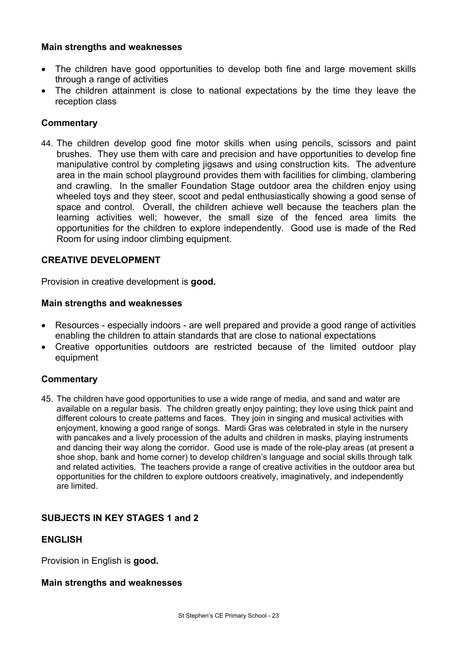## **Main strengths and weaknesses**

- The children have good opportunities to develop both fine and large movement skills through a range of activities
- The children attainment is close to national expectations by the time they leave the reception class

## **Commentary**

44. The children develop good fine motor skills when using pencils, scissors and paint brushes. They use them with care and precision and have opportunities to develop fine manipulative control by completing jigsaws and using construction kits. The adventure area in the main school playground provides them with facilities for climbing, clambering and crawling. In the smaller Foundation Stage outdoor area the children enjoy using wheeled toys and they steer, scoot and pedal enthusiastically showing a good sense of space and control. Overall, the children achieve well because the teachers plan the learning activities well; however, the small size of the fenced area limits the opportunities for the children to explore independently. Good use is made of the Red Room for using indoor climbing equipment.

### **CREATIVE DEVELOPMENT**

Provision in creative development is **good.** 

#### **Main strengths and weaknesses**

- Resources especially indoors are well prepared and provide a good range of activities enabling the children to attain standards that are close to national expectations
- Creative opportunities outdoors are restricted because of the limited outdoor play equipment

#### **Commentary**

45. The children have good opportunities to use a wide range of media, and sand and water are available on a regular basis. The children greatly enjoy painting; they love using thick paint and different colours to create patterns and faces. They join in singing and musical activities with enjoyment, knowing a good range of songs. Mardi Gras was celebrated in style in the nursery with pancakes and a lively procession of the adults and children in masks, playing instruments and dancing their way along the corridor. Good use is made of the role-play areas (at present a shoe shop, bank and home corner) to develop children's language and social skills through talk and related activities. The teachers provide a range of creative activities in the outdoor area but opportunities for the children to explore outdoors creatively, imaginatively, and independently are limited.

## **SUBJECTS IN KEY STAGES 1 and 2**

## **ENGLISH**

Provision in English is **good.** 

#### **Main strengths and weaknesses**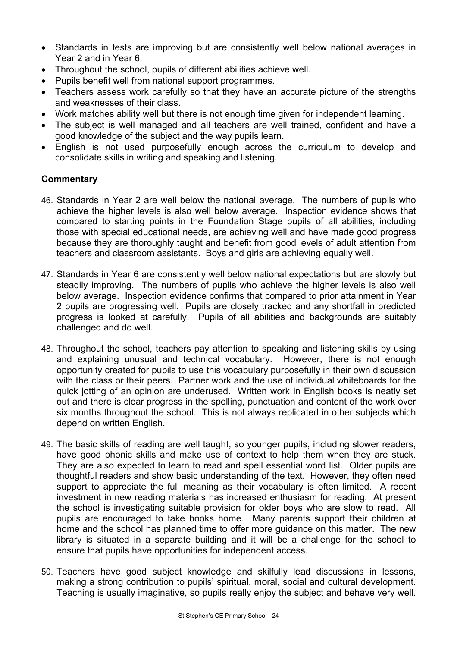- Standards in tests are improving but are consistently well below national averages in Year 2 and in Year 6.
- Throughout the school, pupils of different abilities achieve well.
- Pupils benefit well from national support programmes.
- Teachers assess work carefully so that they have an accurate picture of the strengths and weaknesses of their class.
- Work matches ability well but there is not enough time given for independent learning.
- The subject is well managed and all teachers are well trained, confident and have a good knowledge of the subject and the way pupils learn.
- English is not used purposefully enough across the curriculum to develop and consolidate skills in writing and speaking and listening.

- 46. Standards in Year 2 are well below the national average. The numbers of pupils who achieve the higher levels is also well below average. Inspection evidence shows that compared to starting points in the Foundation Stage pupils of all abilities, including those with special educational needs, are achieving well and have made good progress because they are thoroughly taught and benefit from good levels of adult attention from teachers and classroom assistants. Boys and girls are achieving equally well.
- 47. Standards in Year 6 are consistently well below national expectations but are slowly but steadily improving. The numbers of pupils who achieve the higher levels is also well below average. Inspection evidence confirms that compared to prior attainment in Year 2 pupils are progressing well. Pupils are closely tracked and any shortfall in predicted progress is looked at carefully. Pupils of all abilities and backgrounds are suitably challenged and do well.
- 48. Throughout the school, teachers pay attention to speaking and listening skills by using and explaining unusual and technical vocabulary. However, there is not enough opportunity created for pupils to use this vocabulary purposefully in their own discussion with the class or their peers. Partner work and the use of individual whiteboards for the quick jotting of an opinion are underused. Written work in English books is neatly set out and there is clear progress in the spelling, punctuation and content of the work over six months throughout the school. This is not always replicated in other subjects which depend on written English.
- 49. The basic skills of reading are well taught, so younger pupils, including slower readers, have good phonic skills and make use of context to help them when they are stuck. They are also expected to learn to read and spell essential word list. Older pupils are thoughtful readers and show basic understanding of the text. However, they often need support to appreciate the full meaning as their vocabulary is often limited. A recent investment in new reading materials has increased enthusiasm for reading. At present the school is investigating suitable provision for older boys who are slow to read. All pupils are encouraged to take books home. Many parents support their children at home and the school has planned time to offer more guidance on this matter. The new library is situated in a separate building and it will be a challenge for the school to ensure that pupils have opportunities for independent access.
- 50. Teachers have good subject knowledge and skilfully lead discussions in lessons, making a strong contribution to pupils' spiritual, moral, social and cultural development. Teaching is usually imaginative, so pupils really enjoy the subject and behave very well.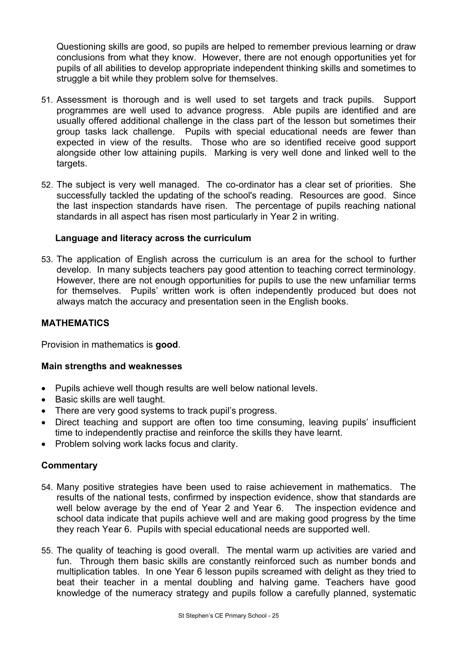Questioning skills are good, so pupils are helped to remember previous learning or draw conclusions from what they know. However, there are not enough opportunities yet for pupils of all abilities to develop appropriate independent thinking skills and sometimes to struggle a bit while they problem solve for themselves.

- 51. Assessment is thorough and is well used to set targets and track pupils. Support programmes are well used to advance progress. Able pupils are identified and are usually offered additional challenge in the class part of the lesson but sometimes their group tasks lack challenge. Pupils with special educational needs are fewer than expected in view of the results. Those who are so identified receive good support alongside other low attaining pupils. Marking is very well done and linked well to the targets.
- 52. The subject is very well managed. The co-ordinator has a clear set of priorities. She successfully tackled the updating of the school's reading. Resources are good. Since the last inspection standards have risen. The percentage of pupils reaching national standards in all aspect has risen most particularly in Year 2 in writing.

## **Language and literacy across the curriculum**

53. The application of English across the curriculum is an area for the school to further develop. In many subjects teachers pay good attention to teaching correct terminology. However, there are not enough opportunities for pupils to use the new unfamiliar terms for themselves. Pupils' written work is often independently produced but does not always match the accuracy and presentation seen in the English books.

# **MATHEMATICS**

Provision in mathematics is **good**.

## **Main strengths and weaknesses**

- Pupils achieve well though results are well below national levels.
- Basic skills are well taught.
- There are very good systems to track pupil's progress.
- Direct teaching and support are often too time consuming, leaving pupils' insufficient time to independently practise and reinforce the skills they have learnt.
- Problem solving work lacks focus and clarity.

- 54. Many positive strategies have been used to raise achievement in mathematics. The results of the national tests, confirmed by inspection evidence, show that standards are well below average by the end of Year 2 and Year 6. The inspection evidence and school data indicate that pupils achieve well and are making good progress by the time they reach Year 6. Pupils with special educational needs are supported well.
- 55. The quality of teaching is good overall. The mental warm up activities are varied and fun. Through them basic skills are constantly reinforced such as number bonds and multiplication tables. In one Year 6 lesson pupils screamed with delight as they tried to beat their teacher in a mental doubling and halving game. Teachers have good knowledge of the numeracy strategy and pupils follow a carefully planned, systematic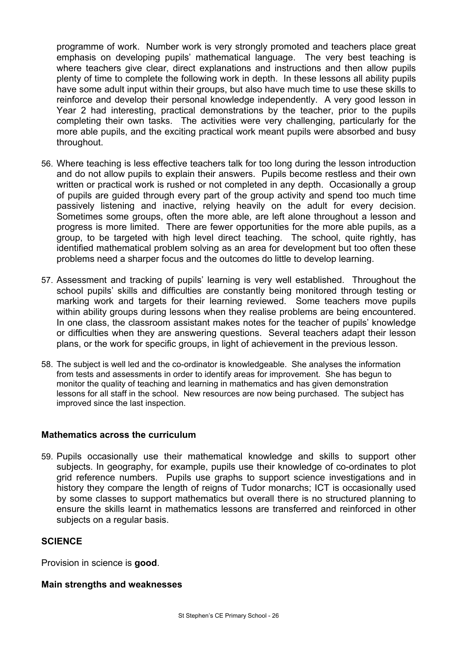programme of work. Number work is very strongly promoted and teachers place great emphasis on developing pupils' mathematical language. The very best teaching is where teachers give clear, direct explanations and instructions and then allow pupils plenty of time to complete the following work in depth. In these lessons all ability pupils have some adult input within their groups, but also have much time to use these skills to reinforce and develop their personal knowledge independently. A very good lesson in Year 2 had interesting, practical demonstrations by the teacher, prior to the pupils completing their own tasks. The activities were very challenging, particularly for the more able pupils, and the exciting practical work meant pupils were absorbed and busy throughout.

- 56. Where teaching is less effective teachers talk for too long during the lesson introduction and do not allow pupils to explain their answers. Pupils become restless and their own written or practical work is rushed or not completed in any depth. Occasionally a group of pupils are guided through every part of the group activity and spend too much time passively listening and inactive, relying heavily on the adult for every decision. Sometimes some groups, often the more able, are left alone throughout a lesson and progress is more limited. There are fewer opportunities for the more able pupils, as a group, to be targeted with high level direct teaching. The school, quite rightly, has identified mathematical problem solving as an area for development but too often these problems need a sharper focus and the outcomes do little to develop learning.
- 57. Assessment and tracking of pupils' learning is very well established. Throughout the school pupils' skills and difficulties are constantly being monitored through testing or marking work and targets for their learning reviewed. Some teachers move pupils within ability groups during lessons when they realise problems are being encountered. In one class, the classroom assistant makes notes for the teacher of pupils' knowledge or difficulties when they are answering questions. Several teachers adapt their lesson plans, or the work for specific groups, in light of achievement in the previous lesson.
- 58. The subject is well led and the co-ordinator is knowledgeable. She analyses the information from tests and assessments in order to identify areas for improvement. She has begun to monitor the quality of teaching and learning in mathematics and has given demonstration lessons for all staff in the school. New resources are now being purchased. The subject has improved since the last inspection.

#### **Mathematics across the curriculum**

59. Pupils occasionally use their mathematical knowledge and skills to support other subjects. In geography, for example, pupils use their knowledge of co-ordinates to plot grid reference numbers. Pupils use graphs to support science investigations and in history they compare the length of reigns of Tudor monarchs; ICT is occasionally used by some classes to support mathematics but overall there is no structured planning to ensure the skills learnt in mathematics lessons are transferred and reinforced in other subjects on a regular basis.

## **SCIENCE**

Provision in science is **good**.

#### **Main strengths and weaknesses**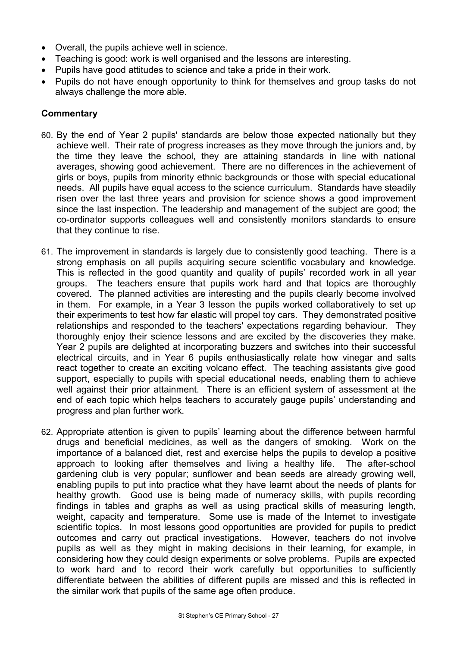- Overall, the pupils achieve well in science.
- Teaching is good: work is well organised and the lessons are interesting.
- Pupils have good attitudes to science and take a pride in their work.
- Pupils do not have enough opportunity to think for themselves and group tasks do not always challenge the more able.

- 60. By the end of Year 2 pupils' standards are below those expected nationally but they achieve well. Their rate of progress increases as they move through the juniors and, by the time they leave the school, they are attaining standards in line with national averages, showing good achievement. There are no differences in the achievement of girls or boys, pupils from minority ethnic backgrounds or those with special educational needs. All pupils have equal access to the science curriculum. Standards have steadily risen over the last three years and provision for science shows a good improvement since the last inspection. The leadership and management of the subject are good; the co-ordinator supports colleagues well and consistently monitors standards to ensure that they continue to rise.
- 61. The improvement in standards is largely due to consistently good teaching. There is a strong emphasis on all pupils acquiring secure scientific vocabulary and knowledge. This is reflected in the good quantity and quality of pupils' recorded work in all year groups. The teachers ensure that pupils work hard and that topics are thoroughly covered. The planned activities are interesting and the pupils clearly become involved in them. For example, in a Year 3 lesson the pupils worked collaboratively to set up their experiments to test how far elastic will propel toy cars. They demonstrated positive relationships and responded to the teachers' expectations regarding behaviour. They thoroughly enjoy their science lessons and are excited by the discoveries they make. Year 2 pupils are delighted at incorporating buzzers and switches into their successful electrical circuits, and in Year 6 pupils enthusiastically relate how vinegar and salts react together to create an exciting volcano effect. The teaching assistants give good support, especially to pupils with special educational needs, enabling them to achieve well against their prior attainment. There is an efficient system of assessment at the end of each topic which helps teachers to accurately gauge pupils' understanding and progress and plan further work.
- 62. Appropriate attention is given to pupils' learning about the difference between harmful drugs and beneficial medicines, as well as the dangers of smoking. Work on the importance of a balanced diet, rest and exercise helps the pupils to develop a positive approach to looking after themselves and living a healthy life. The after-school gardening club is very popular; sunflower and bean seeds are already growing well, enabling pupils to put into practice what they have learnt about the needs of plants for healthy growth. Good use is being made of numeracy skills, with pupils recording findings in tables and graphs as well as using practical skills of measuring length, weight, capacity and temperature. Some use is made of the Internet to investigate scientific topics. In most lessons good opportunities are provided for pupils to predict outcomes and carry out practical investigations. However, teachers do not involve pupils as well as they might in making decisions in their learning, for example, in considering how they could design experiments or solve problems. Pupils are expected to work hard and to record their work carefully but opportunities to sufficiently differentiate between the abilities of different pupils are missed and this is reflected in the similar work that pupils of the same age often produce.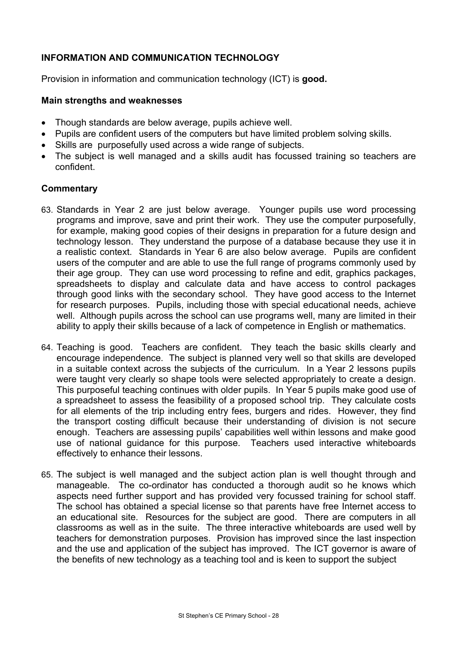# **INFORMATION AND COMMUNICATION TECHNOLOGY**

Provision in information and communication technology (ICT) is **good.** 

### **Main strengths and weaknesses**

- Though standards are below average, pupils achieve well.
- Pupils are confident users of the computers but have limited problem solving skills.
- Skills are purposefully used across a wide range of subjects.
- The subject is well managed and a skills audit has focussed training so teachers are confident.

- 63. Standards in Year 2 are just below average. Younger pupils use word processing programs and improve, save and print their work. They use the computer purposefully, for example, making good copies of their designs in preparation for a future design and technology lesson. They understand the purpose of a database because they use it in a realistic context. Standards in Year 6 are also below average. Pupils are confident users of the computer and are able to use the full range of programs commonly used by their age group. They can use word processing to refine and edit, graphics packages, spreadsheets to display and calculate data and have access to control packages through good links with the secondary school. They have good access to the Internet for research purposes. Pupils, including those with special educational needs, achieve well. Although pupils across the school can use programs well, many are limited in their ability to apply their skills because of a lack of competence in English or mathematics.
- 64. Teaching is good. Teachers are confident. They teach the basic skills clearly and encourage independence. The subject is planned very well so that skills are developed in a suitable context across the subjects of the curriculum. In a Year 2 lessons pupils were taught very clearly so shape tools were selected appropriately to create a design. This purposeful teaching continues with older pupils. In Year 5 pupils make good use of a spreadsheet to assess the feasibility of a proposed school trip. They calculate costs for all elements of the trip including entry fees, burgers and rides. However, they find the transport costing difficult because their understanding of division is not secure enough. Teachers are assessing pupils' capabilities well within lessons and make good use of national guidance for this purpose. Teachers used interactive whiteboards effectively to enhance their lessons.
- 65. The subject is well managed and the subject action plan is well thought through and manageable. The co-ordinator has conducted a thorough audit so he knows which aspects need further support and has provided very focussed training for school staff. The school has obtained a special license so that parents have free Internet access to an educational site. Resources for the subject are good. There are computers in all classrooms as well as in the suite. The three interactive whiteboards are used well by teachers for demonstration purposes. Provision has improved since the last inspection and the use and application of the subject has improved. The ICT governor is aware of the benefits of new technology as a teaching tool and is keen to support the subject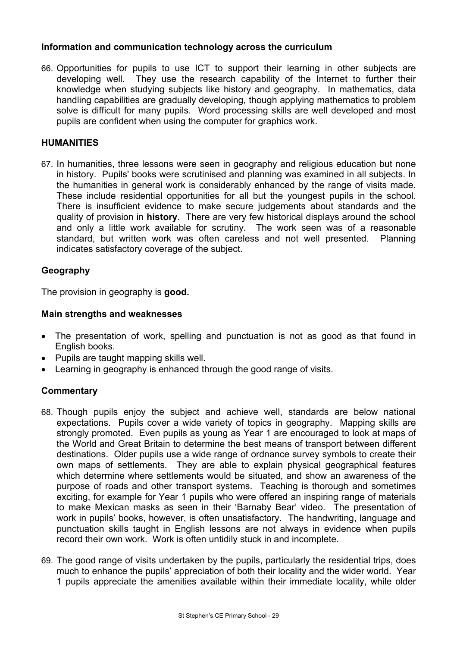## **Information and communication technology across the curriculum**

66. Opportunities for pupils to use ICT to support their learning in other subjects are developing well. They use the research capability of the Internet to further their knowledge when studying subjects like history and geography. In mathematics, data handling capabilities are gradually developing, though applying mathematics to problem solve is difficult for many pupils. Word processing skills are well developed and most pupils are confident when using the computer for graphics work.

## **HUMANITIES**

67. In humanities, three lessons were seen in geography and religious education but none in history. Pupils' books were scrutinised and planning was examined in all subjects. In the humanities in general work is considerably enhanced by the range of visits made. These include residential opportunities for all but the youngest pupils in the school. There is insufficient evidence to make secure judgements about standards and the quality of provision in **history**. There are very few historical displays around the school and only a little work available for scrutiny. The work seen was of a reasonable standard, but written work was often careless and not well presented. Planning indicates satisfactory coverage of the subject.

## **Geography**

The provision in geography is **good.** 

### **Main strengths and weaknesses**

- The presentation of work, spelling and punctuation is not as good as that found in English books.
- Pupils are taught mapping skills well.
- Learning in geography is enhanced through the good range of visits.

- 68. Though pupils enjoy the subject and achieve well, standards are below national expectations. Pupils cover a wide variety of topics in geography. Mapping skills are strongly promoted. Even pupils as young as Year 1 are encouraged to look at maps of the World and Great Britain to determine the best means of transport between different destinations. Older pupils use a wide range of ordnance survey symbols to create their own maps of settlements. They are able to explain physical geographical features which determine where settlements would be situated, and show an awareness of the purpose of roads and other transport systems. Teaching is thorough and sometimes exciting, for example for Year 1 pupils who were offered an inspiring range of materials to make Mexican masks as seen in their 'Barnaby Bear' video. The presentation of work in pupils' books, however, is often unsatisfactory. The handwriting, language and punctuation skills taught in English lessons are not always in evidence when pupils record their own work. Work is often untidily stuck in and incomplete.
- 69. The good range of visits undertaken by the pupils, particularly the residential trips, does much to enhance the pupils' appreciation of both their locality and the wider world. Year 1 pupils appreciate the amenities available within their immediate locality, while older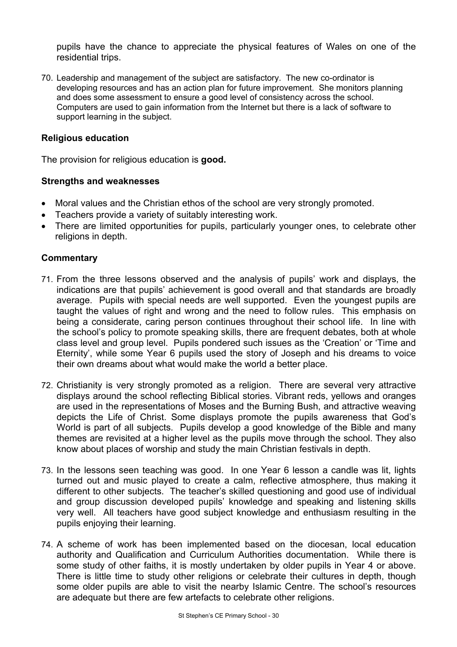pupils have the chance to appreciate the physical features of Wales on one of the residential trips.

70. Leadership and management of the subject are satisfactory. The new co-ordinator is developing resources and has an action plan for future improvement. She monitors planning and does some assessment to ensure a good level of consistency across the school. Computers are used to gain information from the Internet but there is a lack of software to support learning in the subject.

### **Religious education**

The provision for religious education is **good.** 

#### **Strengths and weaknesses**

- Moral values and the Christian ethos of the school are very strongly promoted.
- Teachers provide a variety of suitably interesting work.
- There are limited opportunities for pupils, particularly younger ones, to celebrate other religions in depth.

- 71. From the three lessons observed and the analysis of pupils' work and displays, the indications are that pupils' achievement is good overall and that standards are broadly average. Pupils with special needs are well supported. Even the youngest pupils are taught the values of right and wrong and the need to follow rules. This emphasis on being a considerate, caring person continues throughout their school life. In line with the school's policy to promote speaking skills, there are frequent debates, both at whole class level and group level. Pupils pondered such issues as the 'Creation' or 'Time and Eternity', while some Year 6 pupils used the story of Joseph and his dreams to voice their own dreams about what would make the world a better place.
- 72. Christianity is very strongly promoted as a religion. There are several very attractive displays around the school reflecting Biblical stories. Vibrant reds, yellows and oranges are used in the representations of Moses and the Burning Bush, and attractive weaving depicts the Life of Christ. Some displays promote the pupils awareness that God's World is part of all subjects. Pupils develop a good knowledge of the Bible and many themes are revisited at a higher level as the pupils move through the school. They also know about places of worship and study the main Christian festivals in depth.
- 73. In the lessons seen teaching was good. In one Year 6 lesson a candle was lit, lights turned out and music played to create a calm, reflective atmosphere, thus making it different to other subjects. The teacher's skilled questioning and good use of individual and group discussion developed pupils' knowledge and speaking and listening skills very well. All teachers have good subject knowledge and enthusiasm resulting in the pupils enjoying their learning.
- 74. A scheme of work has been implemented based on the diocesan, local education authority and Qualification and Curriculum Authorities documentation. While there is some study of other faiths, it is mostly undertaken by older pupils in Year 4 or above. There is little time to study other religions or celebrate their cultures in depth, though some older pupils are able to visit the nearby Islamic Centre. The school's resources are adequate but there are few artefacts to celebrate other religions.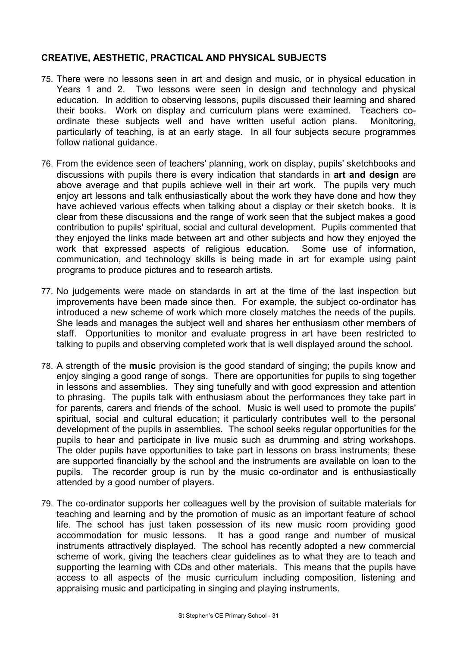# **CREATIVE, AESTHETIC, PRACTICAL AND PHYSICAL SUBJECTS**

- 75. There were no lessons seen in art and design and music, or in physical education in Years 1 and 2. Two lessons were seen in design and technology and physical education. In addition to observing lessons, pupils discussed their learning and shared their books. Work on display and curriculum plans were examined. Teachers coordinate these subjects well and have written useful action plans. Monitoring, particularly of teaching, is at an early stage. In all four subjects secure programmes follow national guidance.
- 76. From the evidence seen of teachers' planning, work on display, pupils' sketchbooks and discussions with pupils there is every indication that standards in **art and design** are above average and that pupils achieve well in their art work. The pupils very much enjoy art lessons and talk enthusiastically about the work they have done and how they have achieved various effects when talking about a display or their sketch books. It is clear from these discussions and the range of work seen that the subject makes a good contribution to pupils' spiritual, social and cultural development. Pupils commented that they enjoyed the links made between art and other subjects and how they enjoyed the work that expressed aspects of religious education. Some use of information, communication, and technology skills is being made in art for example using paint programs to produce pictures and to research artists.
- 77. No judgements were made on standards in art at the time of the last inspection but improvements have been made since then. For example, the subject co-ordinator has introduced a new scheme of work which more closely matches the needs of the pupils. She leads and manages the subject well and shares her enthusiasm other members of staff. Opportunities to monitor and evaluate progress in art have been restricted to talking to pupils and observing completed work that is well displayed around the school.
- 78. A strength of the **music** provision is the good standard of singing; the pupils know and enjoy singing a good range of songs. There are opportunities for pupils to sing together in lessons and assemblies. They sing tunefully and with good expression and attention to phrasing. The pupils talk with enthusiasm about the performances they take part in for parents, carers and friends of the school. Music is well used to promote the pupils' spiritual, social and cultural education; it particularly contributes well to the personal development of the pupils in assemblies. The school seeks regular opportunities for the pupils to hear and participate in live music such as drumming and string workshops. The older pupils have opportunities to take part in lessons on brass instruments; these are supported financially by the school and the instruments are available on loan to the pupils. The recorder group is run by the music co-ordinator and is enthusiastically attended by a good number of players.
- 79. The co-ordinator supports her colleagues well by the provision of suitable materials for teaching and learning and by the promotion of music as an important feature of school life. The school has just taken possession of its new music room providing good accommodation for music lessons. It has a good range and number of musical instruments attractively displayed. The school has recently adopted a new commercial scheme of work, giving the teachers clear guidelines as to what they are to teach and supporting the learning with CDs and other materials. This means that the pupils have access to all aspects of the music curriculum including composition, listening and appraising music and participating in singing and playing instruments.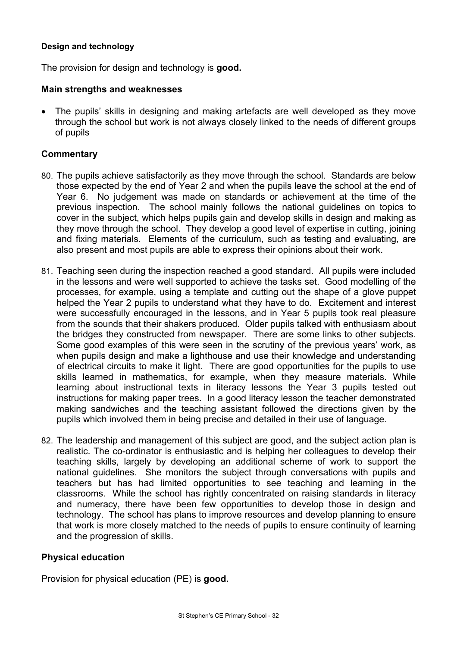### **Design and technology**

The provision for design and technology is **good.** 

### **Main strengths and weaknesses**

The pupils' skills in designing and making artefacts are well developed as they move through the school but work is not always closely linked to the needs of different groups of pupils

## **Commentary**

- 80. The pupils achieve satisfactorily as they move through the school. Standards are below those expected by the end of Year 2 and when the pupils leave the school at the end of Year 6. No judgement was made on standards or achievement at the time of the previous inspection. The school mainly follows the national guidelines on topics to cover in the subject, which helps pupils gain and develop skills in design and making as they move through the school. They develop a good level of expertise in cutting, joining and fixing materials. Elements of the curriculum, such as testing and evaluating, are also present and most pupils are able to express their opinions about their work.
- 81. Teaching seen during the inspection reached a good standard. All pupils were included in the lessons and were well supported to achieve the tasks set. Good modelling of the processes, for example, using a template and cutting out the shape of a glove puppet helped the Year 2 pupils to understand what they have to do. Excitement and interest were successfully encouraged in the lessons, and in Year 5 pupils took real pleasure from the sounds that their shakers produced. Older pupils talked with enthusiasm about the bridges they constructed from newspaper. There are some links to other subjects. Some good examples of this were seen in the scrutiny of the previous years' work, as when pupils design and make a lighthouse and use their knowledge and understanding of electrical circuits to make it light. There are good opportunities for the pupils to use skills learned in mathematics, for example, when they measure materials. While learning about instructional texts in literacy lessons the Year 3 pupils tested out instructions for making paper trees. In a good literacy lesson the teacher demonstrated making sandwiches and the teaching assistant followed the directions given by the pupils which involved them in being precise and detailed in their use of language.
- 82. The leadership and management of this subject are good, and the subject action plan is realistic. The co-ordinator is enthusiastic and is helping her colleagues to develop their teaching skills, largely by developing an additional scheme of work to support the national guidelines. She monitors the subject through conversations with pupils and teachers but has had limited opportunities to see teaching and learning in the classrooms. While the school has rightly concentrated on raising standards in literacy and numeracy, there have been few opportunities to develop those in design and technology. The school has plans to improve resources and develop planning to ensure that work is more closely matched to the needs of pupils to ensure continuity of learning and the progression of skills.

## **Physical education**

Provision for physical education (PE) is **good.**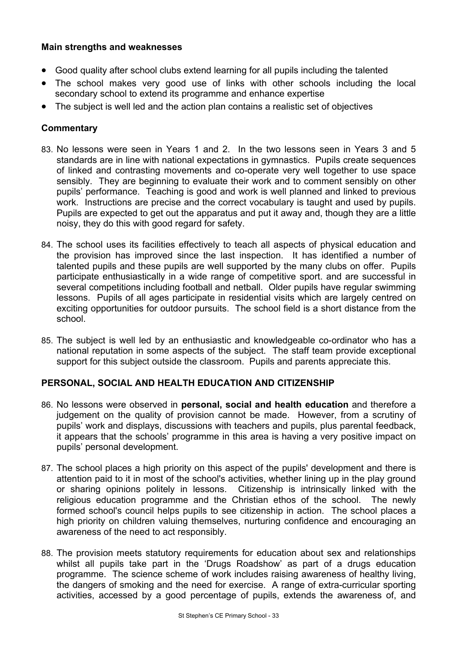## **Main strengths and weaknesses**

- Good quality after school clubs extend learning for all pupils including the talented
- The school makes very good use of links with other schools including the local secondary school to extend its programme and enhance expertise
- The subject is well led and the action plan contains a realistic set of objectives

# **Commentary**

- 83. No lessons were seen in Years 1 and 2. In the two lessons seen in Years 3 and 5 standards are in line with national expectations in gymnastics. Pupils create sequences of linked and contrasting movements and co-operate very well together to use space sensibly. They are beginning to evaluate their work and to comment sensibly on other pupils' performance. Teaching is good and work is well planned and linked to previous work. Instructions are precise and the correct vocabulary is taught and used by pupils. Pupils are expected to get out the apparatus and put it away and, though they are a little noisy, they do this with good regard for safety.
- 84. The school uses its facilities effectively to teach all aspects of physical education and the provision has improved since the last inspection. It has identified a number of talented pupils and these pupils are well supported by the many clubs on offer. Pupils participate enthusiastically in a wide range of competitive sport. and are successful in several competitions including football and netball. Older pupils have regular swimming lessons. Pupils of all ages participate in residential visits which are largely centred on exciting opportunities for outdoor pursuits. The school field is a short distance from the school.
- 85. The subject is well led by an enthusiastic and knowledgeable co-ordinator who has a national reputation in some aspects of the subject. The staff team provide exceptional support for this subject outside the classroom. Pupils and parents appreciate this.

## **PERSONAL, SOCIAL AND HEALTH EDUCATION AND CITIZENSHIP**

- 86. No lessons were observed in **personal, social and health education** and therefore a judgement on the quality of provision cannot be made. However, from a scrutiny of pupils' work and displays, discussions with teachers and pupils, plus parental feedback, it appears that the schools' programme in this area is having a very positive impact on pupils' personal development.
- 87. The school places a high priority on this aspect of the pupils' development and there is attention paid to it in most of the school's activities, whether lining up in the play ground or sharing opinions politely in lessons. Citizenship is intrinsically linked with the religious education programme and the Christian ethos of the school. The newly formed school's council helps pupils to see citizenship in action. The school places a high priority on children valuing themselves, nurturing confidence and encouraging an awareness of the need to act responsibly.
- 88. The provision meets statutory requirements for education about sex and relationships whilst all pupils take part in the 'Drugs Roadshow' as part of a drugs education programme. The science scheme of work includes raising awareness of healthy living, the dangers of smoking and the need for exercise. A range of extra-curricular sporting activities, accessed by a good percentage of pupils, extends the awareness of, and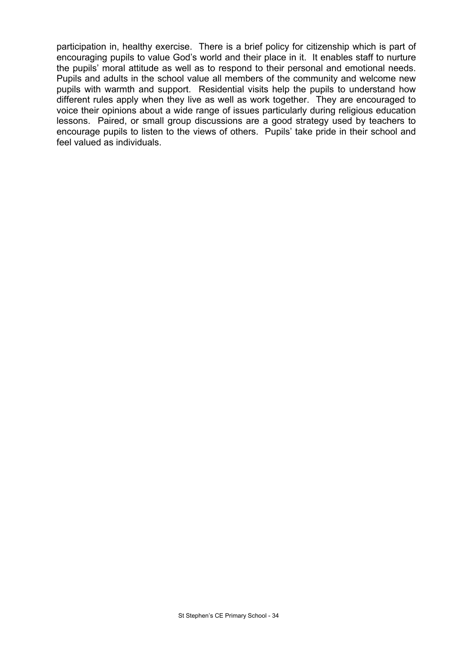participation in, healthy exercise. There is a brief policy for citizenship which is part of encouraging pupils to value God's world and their place in it. It enables staff to nurture the pupils' moral attitude as well as to respond to their personal and emotional needs. Pupils and adults in the school value all members of the community and welcome new pupils with warmth and support. Residential visits help the pupils to understand how different rules apply when they live as well as work together. They are encouraged to voice their opinions about a wide range of issues particularly during religious education lessons. Paired, or small group discussions are a good strategy used by teachers to encourage pupils to listen to the views of others. Pupils' take pride in their school and feel valued as individuals.